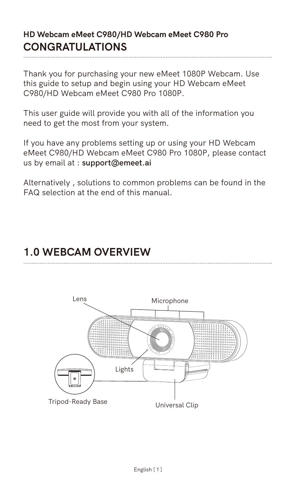## **HD Webcam eMeet C980/HD Webcam eMeet C980 Pro CONGRATULATIONS**

Thank you for purchasing your new eMeet 1080P Webcam. Use this guide to setup and begin using your HD Webcam eMeet C980/HD Webcam eMeet C980 Pro 1080P.

This user guide will provide you with all of the information you need to get the most from your system.

If you have any problems setting up or using your HD Webcam eMeet C980/HD Webcam eMeet C980 Pro 1080P, please contact us by email at : **support@emeet.ai**

Alternatively , solutions to common problems can be found in the FAQ selection at the end of this manual.

## **1.0 WEBCAM OVERVIEW**

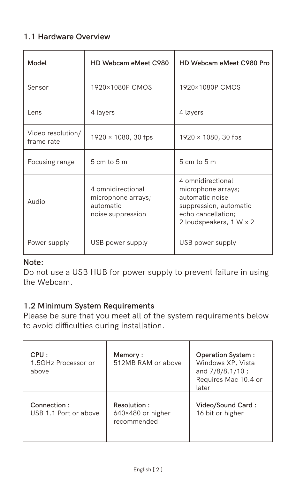#### **1.1 Hardware Overview**

| Model                           | HD Webcam eMeet C980                                                       | HD Webcam eMeet C980 Pro                                                                                                              |  |  |
|---------------------------------|----------------------------------------------------------------------------|---------------------------------------------------------------------------------------------------------------------------------------|--|--|
| Sensor                          | 1920×1080P CMOS                                                            | 1920×1080P CMOS                                                                                                                       |  |  |
| I ens                           | 4 layers                                                                   | 4 layers                                                                                                                              |  |  |
| Video resolution/<br>frame rate | 1920 × 1080, 30 fps                                                        | 1920 × 1080, 30 fps                                                                                                                   |  |  |
| Focusing range                  | $5cm$ to $5m$                                                              | $5cm$ to $5m$                                                                                                                         |  |  |
| Audio                           | 4 omnidirectional<br>microphone arrays;<br>automatic.<br>noise suppression | 4 omnidirectional<br>microphone arrays;<br>automatic noise<br>suppression, automatic<br>echo cancellation:<br>2 loudspeakers, 1 W x 2 |  |  |
| Power supply                    | USB power supply                                                           | USB power supply                                                                                                                      |  |  |

## **Note:**

Do not use a USB HUB for power supply to prevent failure in using the Webcam.

#### **1.2 Minimum System Requirements**

Please be sure that you meet all of the system requirements below to avoid difficulties during installation.

| CPU:<br>1.5GHz Processor or<br>above | Memory:<br>512MB RAM or above                   | <b>Operation System:</b><br>Windows XP, Vista<br>and 7/8/8.1/10;<br>Requires Mac 10.4 or<br>later |
|--------------------------------------|-------------------------------------------------|---------------------------------------------------------------------------------------------------|
| Connection:<br>USB 1.1 Port or above | Resolution:<br>640×480 or higher<br>recommended | Video/Sound Card:<br>16 bit or higher                                                             |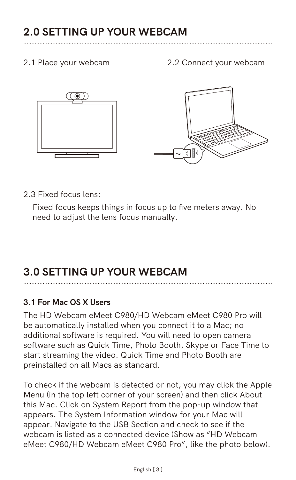2.1 Place your webcam 2.2 Connect your webcam



..........................................................................................................................................................

2.3 Fixed focus lens:

Fixed focus keeps things in focus up to five meters away. No need to adjust the lens focus manually.

# **3.0 SETTING UP YOUR WEBCAM**

#### **3.1 For Mac OS X Users**

The HD Webcam eMeet C980/HD Webcam eMeet C980 Pro will be automatically installed when you connect it to a Mac; no additional software is required. You will need to open camera software such as Quick Time, Photo Booth, Skype or Face Time to start streaming the video. Quick Time and Photo Booth are preinstalled on all Macs as standard.

To check if the webcam is detected or not, you may click the Apple Menu (in the top left corner of your screen) and then click About this Mac. Click on System Report from the pop-up window that appears. The System Information window for your Mac will appear. Navigate to the USB Section and check to see if the webcam is listed as a connected device (Show as "HD Webcam eMeet C980/HD Webcam eMeet C980 Pro", like the photo below).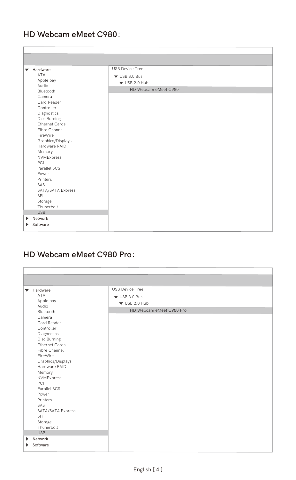## **HD Webcam eMeet C980**:

| <b>V</b> Hardware     | <b>LISR Device Tree</b> |  |
|-----------------------|-------------------------|--|
| ΔTΔ                   | $V$ USB 3.0 Bus         |  |
| Apple pay             | $\times$ USB 2.0 Hub    |  |
| Audio.                | HD Webcam eMeet C980    |  |
| Rluetooth             |                         |  |
| Camera                |                         |  |
| Card Reader           |                         |  |
| Controller            |                         |  |
| Diagnostics           |                         |  |
| Disc Burning          |                         |  |
| Ethernet Cards        |                         |  |
| Fibre Channel         |                         |  |
| FireWire              |                         |  |
| Graphics/Displays     |                         |  |
| Hardware RAID         |                         |  |
| Memory                |                         |  |
| NVM Express           |                         |  |
| PCL                   |                         |  |
| Parallel SCSL         |                         |  |
| Proven                |                         |  |
| Printers              |                         |  |
| SAS                   |                         |  |
| SATA/SATA Exoress     |                         |  |
| SPI                   |                         |  |
| Storage               |                         |  |
| Thunerbolt            |                         |  |
| <b>USB</b><br>Network |                         |  |

## **HD Webcam eMeet C980 Pro**:

| <b>W</b> Hardware         | <b>LISR Device Tree</b>  |
|---------------------------|--------------------------|
| ΔTΔ                       | $V$ USB 3.0 Bus          |
| Apple pay                 | $\Psi$ LISB 2.0 Hub      |
| <b>Audio</b><br>Rluetooth | HD Webcam eMeet C980 Pro |
|                           |                          |
| Camera<br>Card Reader     |                          |
| Controller                |                          |
| Diagnostics               |                          |
| Disc Burning              |                          |
| Ethernet Cards            |                          |
| Fibre Channel             |                          |
| FireWire                  |                          |
| Graphics/Displays         |                          |
| Hardware RAID             |                          |
| Memory                    |                          |
| NVM Express               |                          |
| PCL                       |                          |
| Parallel SCSI             |                          |
| Proven                    |                          |
| Printers<br>SAS           |                          |
| SATA/SATA Exoress         |                          |
| SPI.                      |                          |
| Storage                   |                          |
| Thunerbolt                |                          |
| <b>LISR</b>               |                          |
| Network                   |                          |
| Software<br>۰             |                          |
|                           |                          |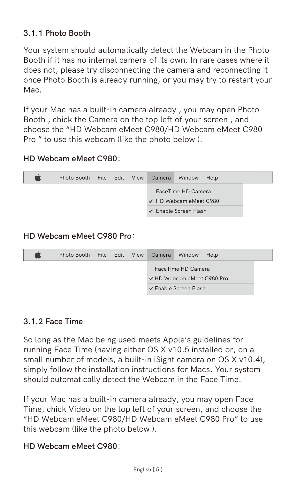#### **3.1.1 Photo Booth**

Your system should automatically detect the Webcam in the Photo Booth if it has no internal camera of its own. In rare cases where it does not, please try disconnecting the camera and reconnecting it once Photo Booth is already running, or you may try to restart your Mac.

If your Mac has a built-in camera already , you may open Photo Booth , chick the Camera on the top left of your screen , and choose the "HD Webcam eMeet C980/HD Webcam eMeet C980 Pro " to use this webcam (like the photo below ).

#### **HD Webcam eMeet C980**:



#### **HD Webcam eMeet C980 Pro**:



#### **3.1.2 Face Time**

So long as the Mac being used meets Apple's guidelines for running Face Time (having either OS X v10.5 installed or, on a small number of models, a built-in iSight camera on OS X v10.4), simply follow the installation instructions for Macs. Your system should automatically detect the Webcam in the Face Time.

If your Mac has a built-in camera already, you may open Face Time, chick Video on the top left of your screen, and choose the "HD Webcam eMeet C980/HD Webcam eMeet C980 Pro" to use this webcam (like the photo below ).

### **HD Webcam eMeet C980**: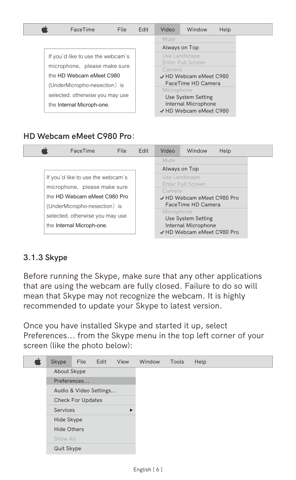| EaceTime                          | File | <b>Fdit</b> | Video      | Window                 | Help |
|-----------------------------------|------|-------------|------------|------------------------|------|
|                                   |      |             | Mute       |                        |      |
|                                   |      |             |            | Always on Top          |      |
| If you'd like to use the webcam's |      |             |            | Use Landscape          |      |
| microphone. please make sure      |      |             |            | Enter Full Screen      |      |
| the HD Webcam eMeet C980          |      |             | Camera     | J HD Webcam eMeet C980 |      |
|                                   |      |             |            | EaceTime HD Camera     |      |
| (UnderMicropho-nesection) is      |      |             | Microphone |                        |      |
| selected, otherwise you may use   |      |             |            | Use System Setting     |      |
| the Internal Microph-one.         |      |             |            | Internal Microphone    |      |
|                                   |      |             |            | √ HD Webcam eMeet C980 |      |

**HD Webcam eMeet C980 Pro**:

| FaceTime                          | File | Fdit | Video      | Window                     | Help |
|-----------------------------------|------|------|------------|----------------------------|------|
|                                   |      |      | Mute       |                            |      |
|                                   |      |      |            | Always on Top              |      |
| If you'd like to use the webcam's |      |      |            | Use Landscape              |      |
| microphone. please make sure      |      |      |            | Enter Full Screen          |      |
|                                   |      |      | Camera     |                            |      |
| the HD Webcam eMeet C980 Pro      |      |      |            | J HD Webcam eMeet C980 Pro |      |
| (UnderMicropho-nesection) is      |      |      |            | EaceTime HD Camera         |      |
| selected, otherwise you may use   |      |      | Microphone |                            |      |
|                                   |      |      |            | Use System Setting         |      |
| the Internal Microph-one.         |      |      |            | Internal Microphone        |      |
|                                   |      |      |            | V HD Webcam eMeet C980 Pro |      |

## **3.1.3 Skype**

Before running the Skype, make sure that any other applications that are using the webcam are fully closed. Failure to do so will mean that Skype may not recognize the webcam. It is highly recommended to update your Skype to latest version.

Once you have installed Skype and started it up, select Preferences... from the Skype menu in the top left corner of your screen (like the photo below):

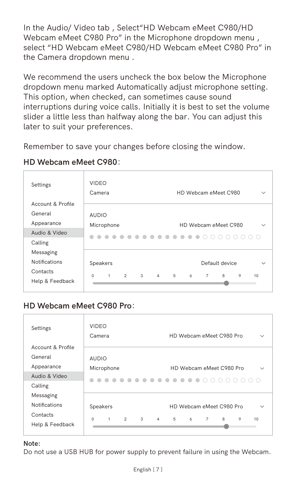In the Audio/ Video tab , Select"HD Webcam eMeet C980/HD Webcam eMeet C980 Pro" in the Microphone dropdown menu , select "HD Webcam eMeet C980/HD Webcam eMeet C980 Pro" in the Camera dropdown menu .

We recommend the users uncheck the box below the Microphone dropdown menu marked Automatically adjust microphone setting. This option, when checked, can sometimes cause sound interruptions during voice calls. Initially it is best to set the volume slider a little less than halfway along the bar. You can adjust this later to suit your preferences.

Remember to save your changes before closing the window.

#### **HD Webcam eMeet C980**:

| Settings             | VIDEO<br>Camera                                       | HD Webcam eMeet C980<br>w                                        |
|----------------------|-------------------------------------------------------|------------------------------------------------------------------|
| Account & Profile    |                                                       |                                                                  |
| General              | AUDIO                                                 |                                                                  |
| Appearance           | Microphone                                            | HD Webcam eMeet C980<br>$\sim$                                   |
| Audio & Video        |                                                       | .<br>00000000                                                    |
| Calling              |                                                       |                                                                  |
| Messaging            |                                                       |                                                                  |
| <b>Notifications</b> | Speakers                                              | Default device<br>$\sim$                                         |
| Contacts             | $2^{\circ}$<br>$\overline{3}$<br>ò.<br>$\overline{1}$ | 5<br>$\Delta$<br>A.<br>$\mathsf{o}$<br>6<br>$\overline{z}$<br>10 |
| Help & Feedback      |                                                       |                                                                  |
|                      |                                                       |                                                                  |

## **HD Webcam eMeet C980 Pro**:

| Settings             | VIDEO<br>Camera                              |                           | HD Webcam eMeet C980 Pro              |               | $\sim$ |
|----------------------|----------------------------------------------|---------------------------|---------------------------------------|---------------|--------|
| Account & Profile    |                                              |                           |                                       |               |        |
| General              | AUDIO                                        |                           |                                       |               |        |
| Appearance           | Microphone                                   |                           | HD Webcam eMeet C980 Pro              |               | $\sim$ |
| Audio & Video        |                                              | $-0.0.0$                  |                                       | .<br>$\cap$   |        |
| Calling              |                                              |                           |                                       |               |        |
| Messaging            |                                              |                           |                                       |               |        |
| <b>Notifications</b> | Speakers                                     |                           | HD Webcam eMeet C980 Pro              |               | $\sim$ |
| Contacts             | $\mathfrak{D}$<br>$\Omega$<br>$\overline{1}$ | $\mathcal{R}$<br>$\Delta$ | 5<br>$\overline{a}$<br>$\overline{7}$ | A.<br>$\circ$ | 10     |
| Help & Feedback      |                                              |                           |                                       |               |        |
|                      |                                              |                           |                                       |               |        |

#### **Note:**

Do not use a USB HUB for power supply to prevent failure in using the Webcam.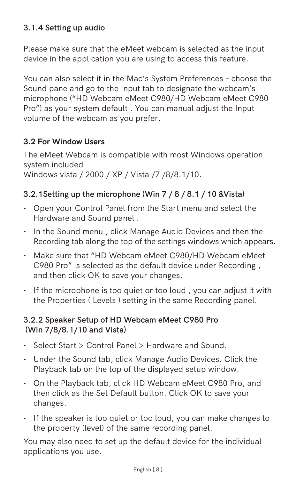#### **3.1.4 Setting up audio**

Please make sure that the eMeet webcam is selected as the input device in the application you are using to access this feature.

You can also select it in the Mac's System Preferences – choose the Sound pane and go to the Input tab to designate the webcam's microphone ("HD Webcam eMeet C980/HD Webcam eMeet C980 Pro") as your system default . You can manual adjust the Input volume of the webcam as you prefer.

#### **3.2 For Window Users**

The eMeet Webcam is compatible with most Windows operation system included Windows vista / 2000 / XP / Vista /7 /8/8.1/10.

#### **3.2.1Setting up the microphone (Win 7 / 8 / 8.1 / 10 &Vista)**

- Open your Control Panel from the Start menu and select the **·** Hardware and Sound panel .
- In the Sound menu , click Manage Audio Devices and then the **·** Recording tab along the top of the settings windows which appears.
- Make sure that "HD Webcam eMeet C980/HD Webcam eMeet **·** C980 Pro" is selected as the default device under Recording , and then click OK to save your changes.
- If the microphone is too quiet or too loud , you can adjust it with **·** the Properties ( Levels ) setting in the same Recording panel.

#### **3.2.2 Speaker Setup of HD Webcam eMeet C980 Pro (Win 7/8/8.1/10 and Vista)**

- Select Start > Control Panel > Hardware and Sound. **·**
- Under the Sound tab, click Manage Audio Devices. Click the **·** Playback tab on the top of the displayed setup window.
- On the Playback tab, click HD Webcam eMeet C980 Pro, and **·** then click as the Set Default button. Click OK to save your changes.
- If the speaker is too quiet or too loud, you can make changes to the property (level) of the same recording panel.

You may also need to set up the default device for the individual applications you use.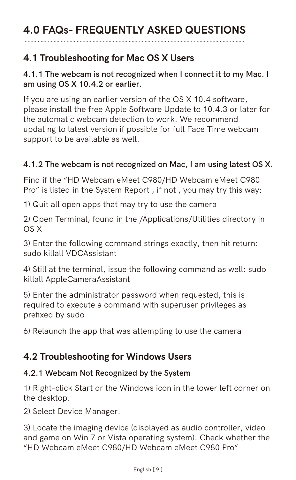## **4.1 Troubleshooting for Mac OS X Users**

#### **4.1.1 The webcam is not recognized when I connect it to my Mac. I am using OS X 10.4.2 or earlier.**

If you are using an earlier version of the OS X 10.4 software, please install the free Apple Software Update to 10.4.3 or later for the automatic webcam detection to work. We recommend updating to latest version if possible for full Face Time webcam support to be available as well.

#### **4.1.2 The webcam is not recognized on Mac, I am using latest OS X.**

Find if the "HD Webcam eMeet C980/HD Webcam eMeet C980 Pro" is listed in the System Report , if not , you may try this way:

1) Quit all open apps that may try to use the camera

2) Open Terminal, found in the /Applications/Utilities directory in OS X

3) Enter the following command strings exactly, then hit return: sudo killall VDCAssistant

4) Still at the terminal, issue the following command as well: sudo killall AppleCameraAssistant

5) Enter the administrator password when requested, this is required to execute a command with superuser privileges as prefixed by sudo

6) Relaunch the app that was attempting to use the camera

## **4.2 Troubleshooting for Windows Users**

#### **4.2.1 Webcam Not Recognized by the System**

1) Right-click Start or the Windows icon in the lower left corner on the desktop.

2) Select Device Manager.

3) Locate the imaging device (displayed as audio controller, video and game on Win 7 or Vista operating system). Check whether the "HD Webcam eMeet C980/HD Webcam eMeet C980 Pro"